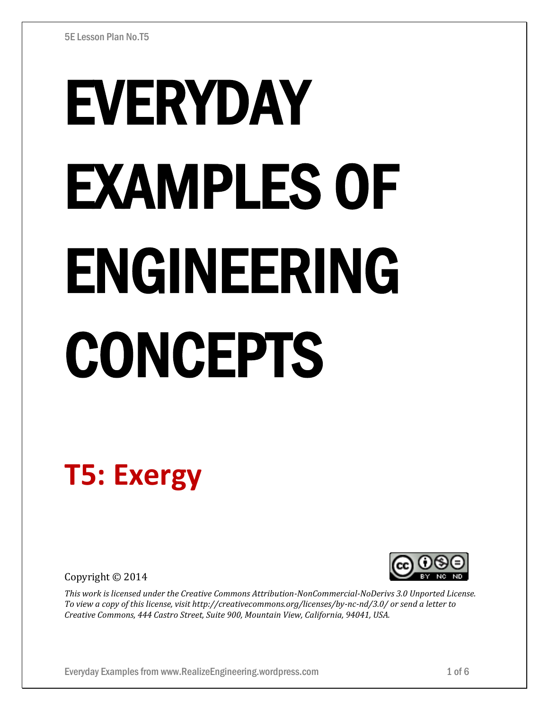# EVERYDAY EXAMPLES OF ENGINEERING CONCEPTS

# **T5: Exergy**

Copyright © 2014



*This work is licensed under the Creative Commons Attribution-NonCommercial-NoDerivs 3.0 Unported License. To view a copy of this license, visit http://creativecommons.org/licenses/by-nc-nd/3.0/ or send a letter to Creative Commons, 444 Castro Street, Suite 900, Mountain View, California, 94041, USA.*

Everyday Examples from www.RealizeEngineering.wordpress.com 1 of 6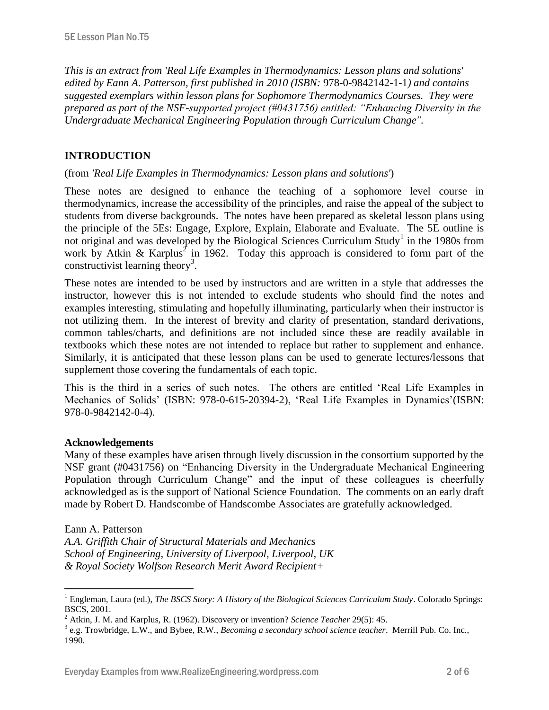*This is an extract from 'Real Life Examples in Thermodynamics: Lesson plans and solutions' edited by Eann A. Patterson, first published in 2010 (ISBN:* 978-0-9842142-1-1*) and contains suggested exemplars within lesson plans for Sophomore Thermodynamics Courses. They were prepared as part of the NSF-supported project (#0431756) entitled: "Enhancing Diversity in the Undergraduate Mechanical Engineering Population through Curriculum Change".* 

# **INTRODUCTION**

### (from *'Real Life Examples in Thermodynamics: Lesson plans and solutions'*)

These notes are designed to enhance the teaching of a sophomore level course in thermodynamics, increase the accessibility of the principles, and raise the appeal of the subject to students from diverse backgrounds. The notes have been prepared as skeletal lesson plans using the principle of the 5Es: Engage, Explore, Explain, Elaborate and Evaluate. The 5E outline is not original and was developed by the Biological Sciences Curriculum Study<sup>1</sup> in the 1980s from work by Atkin & Karplus<sup>2</sup> in 1962. Today this approach is considered to form part of the constructivist learning theory<sup>3</sup>.

These notes are intended to be used by instructors and are written in a style that addresses the instructor, however this is not intended to exclude students who should find the notes and examples interesting, stimulating and hopefully illuminating, particularly when their instructor is not utilizing them. In the interest of brevity and clarity of presentation, standard derivations, common tables/charts, and definitions are not included since these are readily available in textbooks which these notes are not intended to replace but rather to supplement and enhance. Similarly, it is anticipated that these lesson plans can be used to generate lectures/lessons that supplement those covering the fundamentals of each topic.

This is the third in a series of such notes. The others are entitled 'Real Life Examples in Mechanics of Solids' (ISBN: 978-0-615-20394-2), 'Real Life Examples in Dynamics'(ISBN: 978-0-9842142-0-4).

### **Acknowledgements**

Many of these examples have arisen through lively discussion in the consortium supported by the NSF grant (#0431756) on "Enhancing Diversity in the Undergraduate Mechanical Engineering Population through Curriculum Change" and the input of these colleagues is cheerfully acknowledged as is the support of National Science Foundation. The comments on an early draft made by Robert D. Handscombe of Handscombe Associates are gratefully acknowledged.

### Eann A. Patterson

 $\overline{a}$ 

*A.A. Griffith Chair of Structural Materials and Mechanics School of Engineering, University of Liverpool, Liverpool, UK & Royal Society Wolfson Research Merit Award Recipient+*

<sup>&</sup>lt;sup>1</sup> Engleman, Laura (ed.), *The BSCS Story: A History of the Biological Sciences Curriculum Study*. Colorado Springs: BSCS, 2001.

<sup>2</sup> Atkin, J. M. and Karplus, R. (1962). Discovery or invention? *Science Teacher* 29(5): 45.

<sup>3</sup> e.g. Trowbridge, L.W., and Bybee, R.W., *Becoming a secondary school science teacher*. Merrill Pub. Co. Inc., 1990.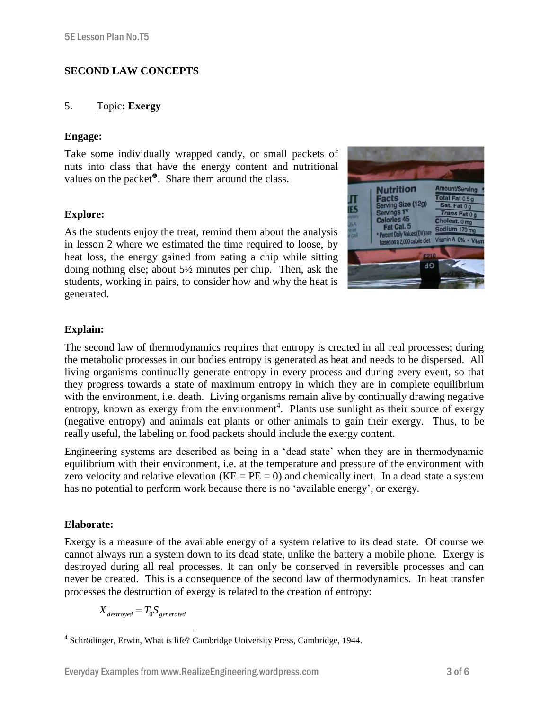## **SECOND LAW CONCEPTS**

### 5. Topic**: Exergy**

### **Engage:**

Take some individually wrapped candy, or small packets of nuts into class that have the energy content and nutritional values on the packet<sup> $\bullet$ </sup>. Share them around the class.

### **Explore:**

As the students enjoy the treat, remind them about the analysis in lesson 2 where we estimated the time required to loose, by heat loss, the energy gained from eating a chip while sitting doing nothing else; about 5½ minutes per chip. Then, ask the students, working in pairs, to consider how and why the heat is generated.



### **Explain:**

The second law of thermodynamics requires that entropy is created in all real processes; during the metabolic processes in our bodies entropy is generated as heat and needs to be dispersed. All living organisms continually generate entropy in every process and during every event, so that they progress towards a state of maximum entropy in which they are in complete equilibrium with the environment, i.e. death. Living organisms remain alive by continually drawing negative entropy, known as exergy from the environment<sup>4</sup>. Plants use sunlight as their source of exergy (negative entropy) and animals eat plants or other animals to gain their exergy. Thus, to be really useful, the labeling on food packets should include the exergy content.

Engineering systems are described as being in a 'dead state' when they are in thermodynamic equilibrium with their environment, i.e. at the temperature and pressure of the environment with zero velocity and relative elevation ( $KE = PE = 0$ ) and chemically inert. In a dead state a system has no potential to perform work because there is no 'available energy', or exergy.

### **Elaborate:**

Exergy is a measure of the available energy of a system relative to its dead state. Of course we cannot always run a system down to its dead state, unlike the battery a mobile phone. Exergy is destroyed during all real processes. It can only be conserved in reversible processes and can never be created. This is a consequence of the second law of thermodynamics. In heat transfer processes the destruction of exergy is related to the creation of entropy:

 $X_{\textit{destroved}} = T_0 S_{\textit{generated}}$ 

 4 Schrödinger, Erwin, What is life? Cambridge University Press, Cambridge, 1944.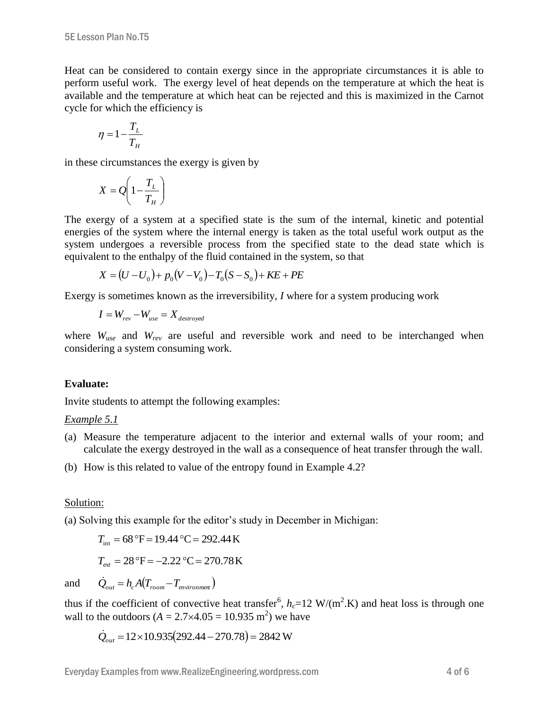Heat can be considered to contain exergy since in the appropriate circumstances it is able to perform useful work. The exergy level of heat depends on the temperature at which the heat is available and the temperature at which heat can be rejected and this is maximized in the Carnot cycle for which the efficiency is

$$
\eta=1-\frac{T_L}{T_H}
$$

in these circumstances the exergy is given by

$$
X = Q\left(1 - \frac{T_L}{T_H}\right)
$$

The exergy of a system at a specified state is the sum of the internal, kinetic and potential energies of the system where the internal energy is taken as the total useful work output as the system undergoes a reversible process from the specified state to the dead state which is equivalent to the enthalpy of the fluid contained in the system, so that

$$
X = (U - U_0) + p_0(V - V_0) - T_0(S - S_0) + KE + PE
$$

Exergy is sometimes known as the irreversibility, *I* where for a system producing work

$$
I = W_{rev} - W_{use} = X_{\text{destroved}}
$$

where *Wuse* and *Wrev* are useful and reversible work and need to be interchanged when considering a system consuming work.

### **Evaluate:**

Invite students to attempt the following examples:

### *Example 5.1*

- (a) Measure the temperature adjacent to the interior and external walls of your room; and calculate the exergy destroyed in the wall as a consequence of heat transfer through the wall.
- (b) How is this related to value of the entropy found in Example 4.2?

### Solution:

(a) Solving this example for the editor's study in December in Michigan:

$$
T_{\text{int}} = 68 \,^{\circ} \text{F} = 19.44 \,^{\circ} \text{C} = 292.44 \, \text{K}
$$

$$
T_{\text{ext}} = 28 \,^{\circ}\text{F} = -2.22 \,^{\circ}\text{C} = 270.78 \,\text{K}
$$

 $\dot{Q}_{out} = h_c A (T_{room} - T_{environment})$ 

and

thus if the coefficient of convective heat transfer<sup>6</sup>,  $h_c=12 \text{ W/(m}^2 \text{K})$  and heat loss is through one wall to the outdoors  $(A = 2.7 \times 4.05 = 10.935 \text{ m}^2)$  we have

$$
\dot{Q}_{out} = 12 \times 10.935(292.44 - 270.78) = 2842 \text{ W}
$$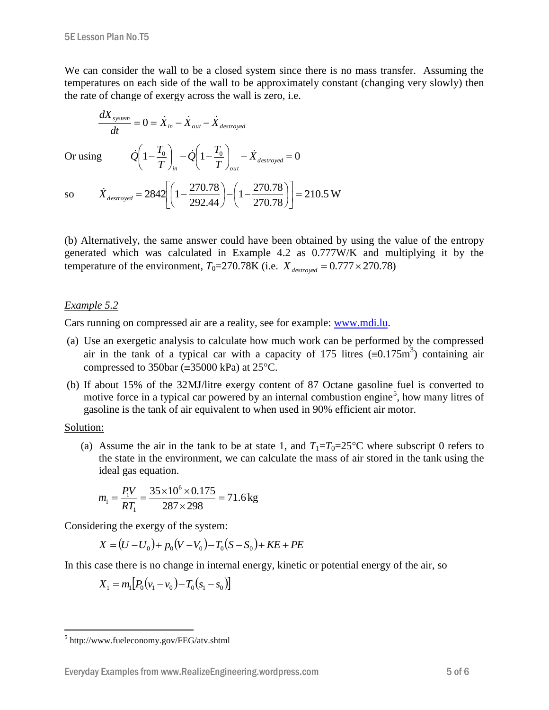We can consider the wall to be a closed system since there is no mass transfer. Assuming the temperatures on each side of the wall to be approximately constant (changing very slowly) then the rate of change of exergy across the wall is zero, i.e.

$$
\frac{dX_{system}}{dt} = 0 = \dot{X}_{in} - \dot{X}_{out} - \dot{X}_{destroved}
$$

 $Or<sub>u</sub>$ 

using 
$$
\dot{Q}\left(1-\frac{T_0}{T}\right)_{in} - \dot{Q}\left(1-\frac{T_0}{T}\right)_{out} - \dot{X}_{destroved} = 0
$$

so 
$$
\dot{X}_{\text{destroyed}} = 2842 \left[ \left( 1 - \frac{270.78}{292.44} \right) - \left( 1 - \frac{270.78}{270.78} \right) \right] = 210.5 \text{ W}
$$

(b) Alternatively, the same answer could have been obtained by using the value of the entropy generated which was calculated in Example 4.2 as 0.777W/K and multiplying it by the temperature of the environment,  $T_0 = 270.78$ K (i.e.  $X_{destroved} = 0.777 \times 270.78$ )

### *Example 5.2*

Cars running on compressed air are a reality, see for example: [www.mdi.lu.](http://www.mdi.lu/)

- (a) Use an exergetic analysis to calculate how much work can be performed by the compressed air in the tank of a typical car with a capacity of 175 litres  $(\equiv 0.175 \text{ m}^3)$  containing air compressed to 350bar ( $\equiv$ 35000 kPa) at 25 $\degree$ C.
- (b) If about 15% of the 32MJ/litre exergy content of 87 Octane gasoline fuel is converted to motive force in a typical car powered by an internal combustion engine<sup>5</sup>, how many litres of gasoline is the tank of air equivalent to when used in 90% efficient air motor.

### Solution:

 $\overline{a}$ 

(a) Assume the air in the tank to be at state 1, and  $T_1 = T_0 = 25^{\circ}$ C where subscript 0 refers to the state in the environment, we can calculate the mass of air stored in the tank using the ideal gas equation.

$$
m_1 = \frac{P_1 V}{RT_1} = \frac{35 \times 10^6 \times 0.175}{287 \times 298} = 71.6 \,\text{kg}
$$

Considering the exergy of the system:

$$
X = (U - U_0) + p_0(V - V_0) - T_0(S - S_0) + KE + PE
$$

In this case there is no change in internal energy, kinetic or potential energy of the air, so

$$
X_1 = m_1 [P_0 (v_1 - v_0) - T_0 (s_1 - s_0)]
$$

<sup>5</sup> http://www.fueleconomy.gov/FEG/atv.shtml